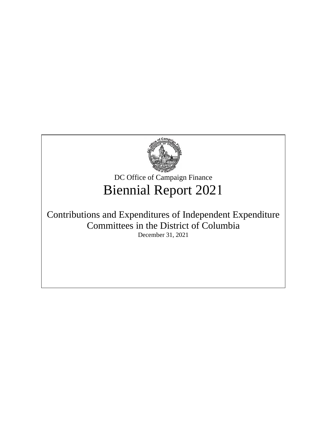

DC Office of Campaign Finance Biennial Report 2021

# Contributions and Expenditures of Independent Expenditure Committees in the District of Columbia December 31, 2021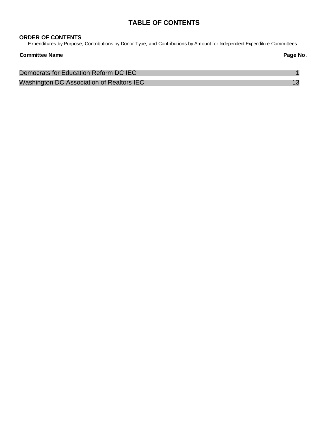### **TABLE OF CONTENTS**

#### **ORDER OF CONTENTS**

Expenditures by Purpose, Contributions by Donor Type, and Contributions by Amount for Independent Expenditure Committees

| <b>Committee Name</b>                     | Page No. |
|-------------------------------------------|----------|
| Democrats for Education Reform DC IEC     |          |
| Washington DC Association of Realtors IEC |          |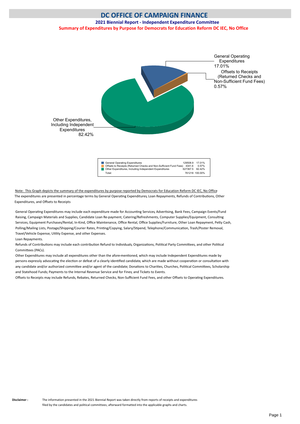<span id="page-2-0"></span>**2021 Biennial Report - Independent Expenditure Committee Summary of Expenditures by Purpose for Democrats for Education Reform DC IEC, No Office**



Note: This Graph depicts the summary of the expenditures by purpose reported by Democrats for Education Reform DC IEC, No Office The expenditures are presented in percentage terms by General Operating Expenditures, Loan Repayments, Refunds of Contributions, Other Expenditures, and Ofsets to Receipts

General Operating Expenditures may include each expenditure made for Accounting Services, Advertising, Bank Fees, Campaign Events/Fund Raising, Campaign Materials and Supplies, Candidate Loan Re-payment, Catering/Refreshments, Computer Supplies/Equipment, Consultng Services, Equipment Purchases/Rental, In-Kind, Office Maintenance, Office Rental, Office Supplies/Furniture, Other Loan Repayment, Petty Cash, Polling/Mailing Lists, Postage/Shipping/Courier Rates, Printing/Copying, Salary/Stipend, Telephone/Communication, Trash/Poster Removal, Travel/Vehicle Expense, Utlity Expense, and other Expenses.

Loan Repayments.

Refunds of Contributions may include each contribution Refund to Individuals, Organizations, Political Party Committees, and other Political Commitees (PACs).

Other Expenditures may include all expenditures other than the afore-mentoned, which may include Independent Expenditures made by persons expressly advocating the election or defeat of a clearly identified candidate, which are made without cooperation or consultation with any candidate and/or authorized committee and/or agent of the candidate; Donations to Charities, Churches, Political Committees, Scholarship and Statehood Funds; Payments to the Internal Revenue Service and for Fines; and Tickets to Events.

Offsets to Receipts may include Refunds, Rebates, Returned Checks, Non-Sufficient Fund Fees, and other Offsets to Operating Expenditures.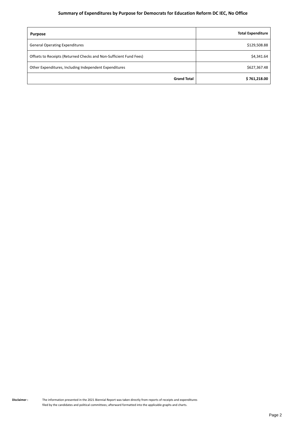#### **Summary of Expenditures by Purpose for Democrats for Education Reform DC IEC, No Office**

| <b>Purpose</b>                                                     | <b>Total Expenditure</b> |
|--------------------------------------------------------------------|--------------------------|
| <b>General Operating Expenditures</b>                              | \$129,508.88             |
| Offsets to Receipts (Returned Checks and Non-Sufficient Fund Fees) | \$4,341.64               |
| Other Expenditures, Including Independent Expenditures             | \$627,367.48             |
| <b>Grand Total</b>                                                 | \$761,218.00             |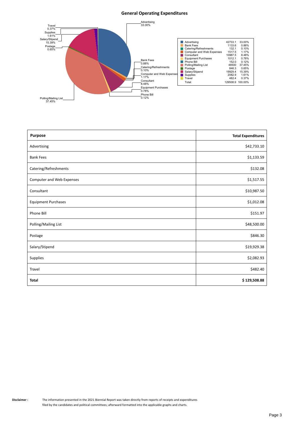#### **General Operating Expenditures**



| <b>Purpose</b>             | <b>Total Expenditures</b> |
|----------------------------|---------------------------|
| Advertising                | \$42,733.10               |
| <b>Bank Fees</b>           | \$1,133.59                |
| Catering/Refreshments      | \$132.08                  |
| Computer and Web Expenses  | \$1,517.55                |
| Consultant                 | \$10,987.50               |
| <b>Equipment Purchases</b> | \$1,012.08                |
| Phone Bill                 | \$151.97                  |
| Polling/Mailing List       | \$48,500.00               |
| Postage                    | \$846.30                  |
| Salary/Stipend             | \$19,929.38               |
| Supplies                   | \$2,082.93                |
| Travel                     | \$482.40                  |
| <b>Total</b>               | \$129,508.88              |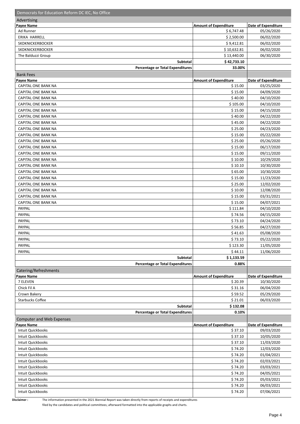| Democrats for Education Reform DC IEC, No Office |                              |                            |
|--------------------------------------------------|------------------------------|----------------------------|
| Advertising                                      |                              |                            |
| <b>Payee Name</b>                                | <b>Amount of Expenditure</b> | <b>Date of Expenditure</b> |
| Ad Runner                                        | \$6,747.48                   | 05/26/2020                 |
| ERIKA HARRELL                                    | \$2,500.00                   | 06/02/2020                 |
| <b>SKDKNICKERBOCKER</b>                          | \$9,412.81                   | 06/02/2020                 |
| SKDKNICKERBOCKER                                 | \$10,632.81                  | 06/02/2020                 |
| The Balduzzi Group                               | \$13,440.00                  | 06/30/2020                 |
| Subtotal                                         | \$42,733.10                  |                            |
| <b>Percentage or Total Expenditures</b>          | 33.00%                       |                            |
| <b>Bank Fees</b>                                 |                              |                            |
| <b>Payee Name</b>                                | <b>Amount of Expenditure</b> | Date of Expenditure        |
| CAPITAL ONE BANK NA                              | \$15.00                      | 03/25/2020                 |
| CAPITAL ONE BANK NA                              | \$15.00                      | 04/09/2020                 |
| CAPITAL ONE BANK NA                              | \$40.00                      | 04/10/2020                 |
| CAPITAL ONE BANK NA                              | \$105.00                     | 04/10/2020                 |
| CAPITAL ONE BANK NA                              | \$15.00                      | 04/15/2020                 |
| CAPITAL ONE BANK NA                              | \$40.00                      | 04/22/2020                 |
| <b>CAPITAL ONE BANK NA</b>                       | \$45.00                      | 04/22/2020                 |
| CAPITAL ONE BANK NA                              | \$25.00                      | 04/23/2020                 |
| CAPITAL ONE BANK NA                              | \$15.00                      | 05/22/2020                 |
| CAPITAL ONE BANK NA                              | \$25.00                      | 05/26/2020                 |
| <b>CAPITAL ONE BANK NA</b>                       | \$15.00                      | 06/17/2020                 |
|                                                  |                              |                            |
| CAPITAL ONE BANK NA                              | \$15.00                      | 09/11/2020                 |
| CAPITAL ONE BANK NA                              | \$10.00                      | 10/29/2020                 |
| CAPITAL ONE BANK NA                              | \$10.10                      | 10/30/2020                 |
| CAPITAL ONE BANK NA                              | \$65.00                      | 10/30/2020                 |
| CAPITAL ONE BANK NA                              | \$15.00                      | 11/23/2020                 |
| CAPITAL ONE BANK NA                              | \$25.00                      | 12/02/2020                 |
| CAPITAL ONE BANK NA                              | \$10.00                      | 12/08/2020                 |
| CAPITAL ONE BANK NA                              | \$15.00                      | 03/31/2021                 |
| CAPITAL ONE BANK NA                              | \$15.00                      | 04/07/2021                 |
| PAYPAL                                           | \$111.84                     | 04/10/2020                 |
| PAYPAL                                           | \$74.56                      | 04/15/2020                 |
| PAYPAL                                           | \$73.10                      | 04/24/2020                 |
| PAYPAL                                           | \$56.85                      | 04/27/2020                 |
| PAYPAL                                           | \$41.63                      | 05/08/2020                 |
| PAYPAL                                           | \$73.10                      | 05/22/2020                 |
| PAYPAL                                           | \$123.30                     | 11/05/2020                 |
| PAYPAL                                           | \$44.11                      | 11/06/2020                 |
| Subtotal                                         | \$1,133.59                   |                            |
| <b>Percentage or Total Expenditures</b>          | 0.88%                        |                            |
| Catering/Refreshments                            |                              |                            |
| Payee Name                                       | <b>Amount of Expenditure</b> | Date of Expenditure        |
| 7 ELEVEN                                         | \$20.39                      | 10/30/2020                 |
| Chick Fil A                                      | \$31.16                      | 06/04/2020                 |
| Crown Bakery                                     | \$59.52                      | 05/29/2020                 |
| <b>Starbucks Coffee</b>                          | \$21.01                      | 06/03/2020                 |
| Subtotal                                         | \$132.08                     |                            |
| <b>Percentage or Total Expenditures</b>          | 0.10%                        |                            |
| <b>Computer and Web Expenses</b>                 |                              |                            |
| Payee Name                                       | <b>Amount of Expenditure</b> | <b>Date of Expenditure</b> |
| Intuit Quickbooks                                | \$37.10                      | 09/03/2020                 |
| Intuit Quickbooks                                | \$37.10                      | 10/05/2020                 |
| Intuit Quickbooks                                | \$37.10                      | 11/03/2020                 |
| Intuit Quickbooks                                | \$74.20                      | 12/03/2020                 |
| Intuit Quickbooks                                | \$74.20                      | 01/04/2021                 |
| Intuit Quickbooks                                | \$74.20                      | 02/03/2021                 |
| Intuit Quickbooks                                | \$74.20                      | 03/03/2021                 |
| Intuit Quickbooks                                | \$74.20                      | 04/05/2021                 |
| Intuit Quickbooks                                | \$74.20                      | 05/03/2021                 |
| Intuit Quickbooks                                | \$74.20                      | 06/03/2021                 |
| Intuit Quickbooks                                | \$74.20                      | 07/06/2021                 |
|                                                  |                              |                            |

**Disclaimer :** The information presented in the 2021 Biennial Report was taken directly from reports of receipts and expenditures

filed by the candidates and political committees; afterward formatted into the applicable graphs and charts.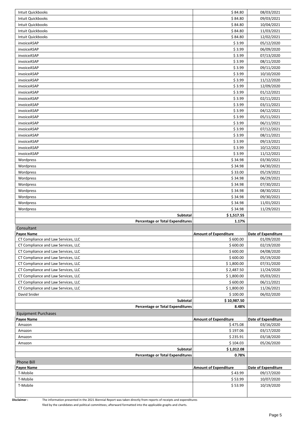| Intuit Quickbooks                                        | \$84.80                                  | 08/03/2021                        |
|----------------------------------------------------------|------------------------------------------|-----------------------------------|
| Intuit Quickbooks                                        | \$84.80                                  | 09/03/2021                        |
| Intuit Quickbooks                                        | \$84.80                                  | 10/04/2021                        |
| Intuit Quickbooks                                        | \$84.80                                  | 11/03/2021                        |
| Intuit Quickbooks                                        | \$84.80                                  | 12/02/2021                        |
| invoiceASAP                                              | \$3.99                                   | 05/12/2020                        |
| invoiceASAP                                              | \$3.99                                   | 06/09/2020                        |
| invoiceASAP                                              | \$3.99                                   | 07/13/2020                        |
| invoiceASAP                                              | \$3.99                                   | 08/11/2020                        |
| invoiceASAP                                              | \$3.99                                   | 09/11/2020                        |
| invoiceASAP                                              | \$3.99                                   | 10/10/2020                        |
| invoiceASAP                                              | \$3.99                                   | 11/12/2020                        |
| invoiceASAP                                              | \$3.99                                   | 12/09/2020                        |
| invoiceASAP                                              | \$3.99                                   | 01/12/2021                        |
| invoiceASAP                                              | \$3.99                                   | 02/11/2021                        |
| invoiceASAP                                              | \$3.99                                   | 03/11/2021                        |
| invoiceASAP                                              | \$3.99                                   | 04/12/2021                        |
| invoiceASAP                                              | \$3.99                                   | 05/11/2021                        |
| invoiceASAP                                              | \$3.99                                   | 06/11/2021                        |
| invoiceASAP                                              | \$3.99                                   | 07/12/2021                        |
| invoiceASAP                                              | \$3.99                                   | 08/11/2021                        |
| invoiceASAP                                              | \$3.99                                   | 09/13/2021                        |
| invoiceASAP                                              | \$3.99                                   | 10/12/2021                        |
| invoiceASAP                                              | \$3.99                                   | 11/12/2021                        |
| Wordpress                                                | \$34.98                                  | 03/30/2021                        |
| Wordpress                                                | \$34.98                                  | 04/30/2021                        |
| Wordpress                                                | \$33.00                                  | 05/19/2021                        |
| Wordpress                                                | \$34.98                                  | 06/29/2021                        |
| Wordpress                                                | \$34.98                                  | 07/30/2021                        |
| Wordpress                                                | \$34.98                                  | 08/30/2021                        |
| Wordpress                                                | \$34.98                                  | 09/30/2021                        |
| Wordpress                                                | \$34.98                                  | 11/01/2021                        |
|                                                          |                                          |                                   |
|                                                          |                                          |                                   |
| Wordpress<br>Subtotal                                    | \$34.98                                  | 11/29/2021                        |
| <b>Percentage or Total Expenditures</b>                  | \$1,517.55<br>1.17%                      |                                   |
|                                                          |                                          |                                   |
| Consultant                                               |                                          |                                   |
| <b>Payee Name</b><br>CT Compliance and Law Services, LLC | <b>Amount of Expenditure</b><br>\$600.00 | Date of Expenditure<br>01/09/2020 |
| CT Compliance and Law Services, LLC                      | \$600.00                                 | 02/19/2020                        |
| CT Compliance and Law Services, LLC                      | \$600.00                                 | 04/08/2020                        |
| CT Compliance and Law Services, LLC                      | \$600.00                                 | 05/19/2020                        |
| CT Compliance and Law Services, LLC                      | \$1,800.00                               | 07/31/2020                        |
| CT Compliance and Law Services, LLC                      | \$2,487.50                               | 11/24/2020                        |
| CT Compliance and Law Services, LLC                      | \$1,800.00                               | 05/03/2021                        |
| CT Compliance and Law Services, LLC                      | \$600.00                                 | 06/11/2021                        |
| CT Compliance and Law Services, LLC                      | \$1,800.00                               | 11/26/2021                        |
| David Snider                                             | \$100.00                                 | 06/02/2020                        |
| Subtotal                                                 | \$10,987.50                              |                                   |
| <b>Percentage or Total Expenditures</b>                  | 8.48%                                    |                                   |
|                                                          |                                          |                                   |
| <b>Equipment Purchases</b><br><b>Payee Name</b>          | <b>Amount of Expenditure</b>             | <b>Date of Expenditure</b>        |
| Amazon                                                   | \$475.08                                 | 03/16/2020                        |
| Amazon                                                   | \$197.06                                 | 03/17/2020                        |
| Amazon                                                   | \$235.91                                 | 03/18/2020                        |
| Amazon                                                   | \$104.03                                 | 05/26/2020                        |
| Subtotal                                                 | \$1,012.08                               |                                   |
| <b>Percentage or Total Expenditures</b>                  | 0.78%                                    |                                   |
| Phone Bill                                               |                                          |                                   |
| Payee Name                                               | <b>Amount of Expenditure</b>             | <b>Date of Expenditure</b>        |
| T-Mobile                                                 | \$43.99                                  | 09/17/2020                        |
| T-Mobile                                                 | \$53.99                                  | 10/07/2020                        |
| T-Mobile                                                 | \$53.99                                  | 10/19/2020                        |

**Disclaimer :** The information presented in the 2021 Biennial Report was taken directly from reports of receipts and expenditures

filed by the candidates and political committees; afterward formatted into the applicable graphs and charts.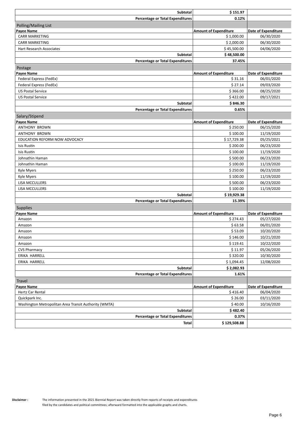| <b>Subtotal</b>                                       | \$151.97                     |                            |
|-------------------------------------------------------|------------------------------|----------------------------|
| <b>Percentage or Total Expenditures</b>               | 0.12%                        |                            |
| Polling/Mailing List                                  |                              |                            |
| Payee Name                                            | <b>Amount of Expenditure</b> | <b>Date of Expenditure</b> |
| <b>CARR MARKETING</b>                                 | \$1,000.00                   | 06/30/2020                 |
| <b>CARR MARKETING</b>                                 | \$2,000.00                   | 06/30/2020                 |
| Hart Research Associates                              | \$45,500.00                  | 04/06/2020                 |
| <b>Subtotal</b>                                       | \$48,500.00                  |                            |
| <b>Percentage or Total Expenditures</b>               | 37.45%                       |                            |
| Postage                                               |                              |                            |
| Payee Name                                            | <b>Amount of Expenditure</b> | <b>Date of Expenditure</b> |
| Federal Express (FedEx)                               | \$31.16                      | 06/01/2020                 |
| Federal Express (FedEx)                               | \$27.14                      | 09/03/2020                 |
| <b>US Postal Service</b>                              | \$366.00                     | 08/25/2020                 |
| <b>US Postal Service</b>                              | \$422.00                     | 09/17/2021                 |
| <b>Subtotal</b>                                       | \$846.30                     |                            |
| <b>Percentage or Total Expenditures</b>               | 0.65%                        |                            |
| Salary/Stipend                                        |                              |                            |
| Payee Name                                            | <b>Amount of Expenditure</b> | <b>Date of Expenditure</b> |
| <b>ANTHONY BROWN</b>                                  | \$250.00                     | 06/15/2020                 |
| <b>ANTHONY BROWN</b>                                  | \$100.00                     | 11/19/2020                 |
| EDUCATION REFORM NOW ADVOCACY                         | \$17,729.38                  | 05/25/2021                 |
| Isis Rustin                                           | \$200.00                     | 06/23/2020                 |
| <b>Isis Rustin</b>                                    | \$100.00                     | 11/19/2020                 |
| Johnathin Haman                                       | \$500.00                     | 06/23/2020                 |
| Johnathin Haman                                       | \$100.00                     | 11/19/2020                 |
| Kyle Myers                                            | \$250.00                     | 06/23/2020                 |
| Kyle Myers                                            | \$100.00                     | 11/19/2020                 |
| LISA MCCULLERS                                        | \$500.00                     | 06/23/2020                 |
| LISA MCCULLERS                                        | \$100.00                     | 11/19/2020                 |
| <b>Subtotal</b>                                       | \$19,929.38                  |                            |
| <b>Percentage or Total Expenditures</b>               | 15.39%                       |                            |
| Supplies                                              |                              |                            |
| Payee Name                                            | <b>Amount of Expenditure</b> | <b>Date of Expenditure</b> |
| Amazon                                                | \$274.43                     | 05/27/2020                 |
| Amazon                                                | \$63.58                      | 06/01/2020                 |
| Amazon                                                | \$53.09                      | 10/20/2020                 |
| Amazon                                                | \$146.00                     | 10/21/2020                 |
| Amazon                                                | \$119.41                     | 10/22/2020                 |
| <b>CVS Pharmacy</b>                                   | \$11.97                      | 05/26/2020                 |
| ERIKA HARRELL                                         | \$320.00                     | 10/30/2020                 |
| ERIKA HARRELL                                         | \$1,094.45                   | 12/08/2020                 |
| Subtotal                                              | \$2,082.93                   |                            |
| <b>Percentage or Total Expenditures</b>               | 1.61%                        |                            |
| <b>Travel</b>                                         |                              |                            |
| Payee Name                                            | <b>Amount of Expenditure</b> | <b>Date of Expenditure</b> |
| Hertz Car Rental                                      | \$416.40                     | 06/04/2020                 |
| Quickpark Inc.                                        | \$26.00                      | 03/11/2020                 |
| Washington Metropolitan Area Transit Authority (WMTA) | \$40.00                      | 10/16/2020                 |
| Subtotal                                              | \$482.40                     |                            |
| <b>Percentage or Total Expenditures</b>               | 0.37%                        |                            |
| Total                                                 | \$129,508.88                 |                            |
|                                                       |                              |                            |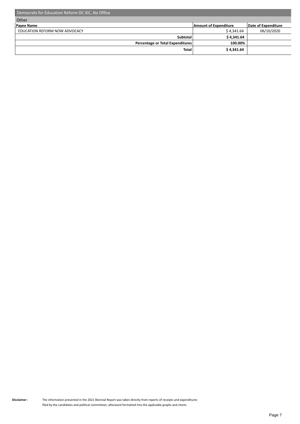| Democrats for Education Reform DC IEC, No Office |                              |                     |
|--------------------------------------------------|------------------------------|---------------------|
| Other                                            |                              |                     |
| <b>Payee Name</b>                                | <b>Amount of Expenditure</b> | Date of Expenditure |
| EDUCATION REFORM NOW ADVOCACY                    | \$4,341.64                   | 06/10/2020          |
| Subtotal                                         | \$4,341.64                   |                     |
| Percentage or Total Expenditures                 | 100.00%                      |                     |
| <b>Total</b>                                     | \$4,341.64                   |                     |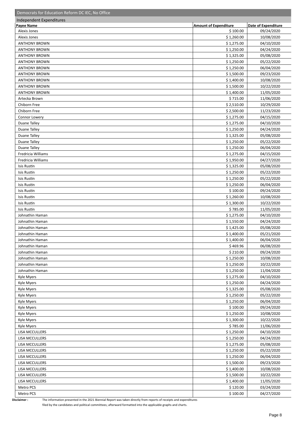| Democrats for Education Reform DC IEC, No Office |                              |                          |
|--------------------------------------------------|------------------------------|--------------------------|
| Independent Expenditures                         |                              |                          |
| <b>Payee Name</b>                                | <b>Amount of Expenditure</b> | Date of Expenditure      |
| Alexis Jones                                     | \$100.00                     | 09/24/2020               |
| Alexis Jones                                     | \$1,260.00                   | 10/08/2020               |
| <b>ANTHONY BROWN</b>                             | \$1,275.00                   | 04/10/2020               |
| <b>ANTHONY BROWN</b>                             | \$1,250.00                   | 04/24/2020               |
| <b>ANTHONY BROWN</b>                             | \$1,325.00                   | 05/08/2020               |
| <b>ANTHONY BROWN</b>                             | \$1,250.00                   | 05/22/2020               |
| <b>ANTHONY BROWN</b>                             | \$1,250.00                   | 06/04/2020               |
| <b>ANTHONY BROWN</b>                             | \$1,500.00                   | 09/23/2020               |
| <b>ANTHONY BROWN</b>                             | \$1,400.00                   | 10/08/2020               |
| <b>ANTHONY BROWN</b>                             | \$1,500.00                   | 10/22/2020               |
| <b>ANTHONY BROWN</b>                             | \$1,400.00                   | 11/05/2020               |
| Artecka Brown                                    | \$715.00                     | 11/06/2020               |
| Chiborn Free                                     | \$2,510.00                   | 10/29/2020               |
| Chiborn Free                                     | \$2,500.00                   | 11/23/2020               |
| Connor Lowery                                    | \$1,275.00                   | 04/15/2020               |
| Duane Talley                                     | \$1,275.00                   | 04/10/2020               |
| <b>Duane Talley</b>                              | \$1,250.00                   | 04/24/2020               |
| <b>Duane Talley</b>                              | \$1,325.00                   | 05/08/2020               |
| <b>Duane Talley</b>                              | \$1,250.00                   | 05/22/2020               |
| Duane Talley                                     | \$1,250.00                   | 06/04/2020               |
| Fredricia Williams                               | \$1,275.00                   | 04/15/2020               |
| Fredricia Williams                               | \$1,950.00                   | 04/27/2020               |
| Isis Rustin                                      | \$1,325.00                   | 05/08/2020               |
| Isis Rustin                                      | \$1,250.00                   | 05/22/2020               |
| Isis Rustin                                      | \$1,250.00                   | 05/22/2020               |
| Isis Rustin                                      | \$1,250.00                   | 06/04/2020               |
| Isis Rustin                                      | \$100.00                     | 09/24/2020               |
| Isis Rustin                                      | \$1,260.00                   | 10/08/2020               |
| Isis Rustin                                      | \$1,300.00                   | 10/22/2020               |
| Isis Rustin                                      | \$785.00                     | 11/05/2020               |
| Johnathin Haman                                  | \$1,275.00                   | 04/10/2020               |
| Johnathin Haman                                  | \$1,550.00                   | 04/24/2020               |
| Johnathin Haman                                  | \$1,425.00                   | 05/08/2020               |
| Johnathin Haman<br>Johnathin Haman               | \$1,400.00<br>\$1,400.00     | 05/21/2020<br>06/04/2020 |
| Johnathin Haman                                  | \$469.96                     | 06/08/2020               |
| Johnathin Haman                                  | \$210.00                     | 09/24/2020               |
| Johnathin Haman                                  | \$1,250.00                   | 10/08/2020               |
| Johnathin Haman                                  | \$1,250.00                   | 10/22/2020               |
| Johnathin Haman                                  | \$1,250.00                   | 11/04/2020               |
| Kyle Myers                                       | \$1,275.00                   | 04/10/2020               |
| Kyle Myers                                       | \$1,250.00                   | 04/24/2020               |
| Kyle Myers                                       | \$1,325.00                   | 05/08/2020               |
| Kyle Myers                                       | \$1,250.00                   | 05/22/2020               |
| Kyle Myers                                       | \$1,250.00                   | 06/04/2020               |
| Kyle Myers                                       | \$100.00                     | 09/24/2020               |
| Kyle Myers                                       | \$1,250.00                   | 10/08/2020               |
| Kyle Myers                                       | \$1,300.00                   | 10/22/2020               |
| Kyle Myers                                       | \$785.00                     | 11/06/2020               |
| LISA MCCULLERS                                   | \$1,250.00                   | 04/10/2020               |
| LISA MCCULLERS                                   | \$1,250.00                   | 04/24/2020               |
| LISA MCCULLERS                                   | \$1,275.00                   | 05/08/2020               |
| LISA MCCULLERS                                   | \$1,250.00                   | 05/22/2020               |
| LISA MCCULLERS                                   | \$1,250.00                   | 06/04/2020               |
| LISA MCCULLERS                                   | \$1,500.00                   | 09/23/2020               |
| LISA MCCULLERS                                   | \$1,400.00                   | 10/08/2020               |
| LISA MCCULLERS                                   | \$1,500.00                   | 10/22/2020               |
| LISA MCCULLERS                                   | \$1,400.00                   | 11/05/2020               |
| Metro PCS                                        | \$120.00                     | 03/24/2020               |
| Metro PCS                                        | \$100.00                     | 04/27/2020               |
|                                                  |                              |                          |

**Disclaimer :** The information presented in the 2021 Biennial Report was taken directly from reports of receipts and expenditures

filed by the candidates and political committees; afterward formatted into the applicable graphs and charts.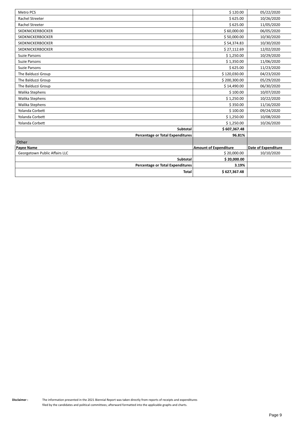| <b>Metro PCS</b>                        | \$120.00                     | 05/22/2020          |
|-----------------------------------------|------------------------------|---------------------|
| <b>Rachel Streeter</b>                  | \$625.00                     | 10/26/2020          |
| <b>Rachel Streeter</b>                  | \$625.00                     | 11/05/2020          |
| SKDKNICKERBOCKER                        | \$60,000.00                  | 06/05/2020          |
| <b>SKDKNICKERBOCKER</b>                 | \$50,000.00                  | 10/30/2020          |
| <b>SKDKNICKERBOCKER</b>                 | \$54,374.83                  | 10/30/2020          |
| <b>SKDKNICKERBOCKER</b>                 | \$27,112.69                  | 12/02/2020          |
| <b>Suzie Parsons</b>                    | \$1,250.00                   | 10/29/2020          |
| Suzie Parsons                           | \$1,350.00                   | 11/06/2020          |
| <b>Suzie Parsons</b>                    | \$625.00                     | 11/23/2020          |
| The Balduzzi Group                      | \$120,030.00                 | 04/23/2020          |
| The Balduzzi Group                      | \$200,300.00                 | 05/29/2020          |
| The Balduzzi Group                      | \$14,490.00                  | 06/30/2020          |
| Walika Stephens                         | \$100.00                     | 10/07/2020          |
| Walika Stephens                         | \$1,250.00                   | 10/22/2020          |
| Walika Stephens                         | \$350.00                     | 11/16/2020          |
| Yolanda Corbett                         | \$100.00                     | 09/24/2020          |
| Yolanda Corbett                         | \$1,250.00                   | 10/08/2020          |
| Yolanda Corbett                         | \$1,250.00                   | 10/26/2020          |
| <b>Subtotal</b>                         | \$607,367.48                 |                     |
| <b>Percentage or Total Expenditures</b> | 96.81%                       |                     |
| Other                                   |                              |                     |
| <b>Payee Name</b>                       | <b>Amount of Expenditure</b> | Date of Expenditure |
| Georgetown Public Affairs LLC           | \$20,000.00                  | 10/10/2020          |
| <b>Subtotal</b>                         | \$20,000.00                  |                     |
| <b>Percentage or Total Expenditures</b> | 3.19%                        |                     |
| <b>Total</b>                            | \$627,367.48                 |                     |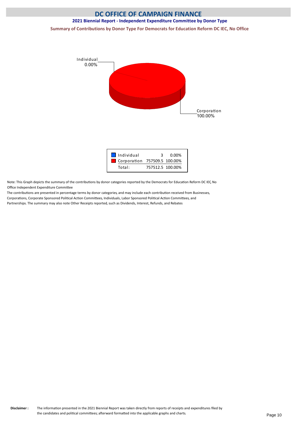### **DC OFFICE OF CAMPAIGN FINANCE 2021 Biennial Report - Independent Expenditure Committee by Donor Type**

**Summary of Contributions by Donor Type For Democrats for Education Reform DC IEC, No Office**





Note: This Graph depicts the summary of the contributons by donor categories reported by the Democrats for Educaton Reform DC IEC, No Office Independent Expenditure Committee

The contributons are presented in percentage terms by donor categories, and may include each contributon received from Businesses, Corporations, Corporate Sponsored Political Action Committees, Individuals, Labor Sponsored Political Action Committees, and Partnerships. The summary may also note Other Receipts reported, such as Dividends, Interest, Refunds, and Rebates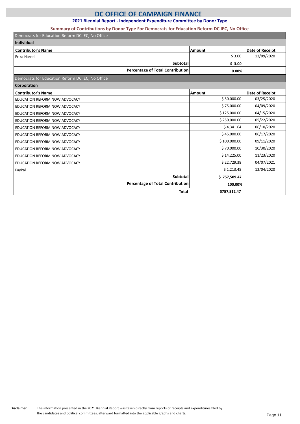### **2021 Biennial Report - Independent Expenditure Committee by Donor Type**

#### **Summary of Contributions by Donor Type For Democrats for Education Reform DC IEC, No Office**

| Democrats for Education Reform DC IEC, No Office |              |                 |
|--------------------------------------------------|--------------|-----------------|
| <b>Individual</b>                                |              |                 |
| <b>Contributor's Name</b>                        | Amount       | Date of Receipt |
| Erika Harrell                                    | \$3.00       | 12/09/2020      |
| <b>Subtotal</b>                                  | \$3.00       |                 |
| <b>Percentage of Total Contribution</b>          | 0.00%        |                 |
| Democrats for Education Reform DC IEC, No Office |              |                 |
| Corporation                                      |              |                 |
| <b>Contributor's Name</b>                        | Amount       | Date of Receipt |
| EDUCATION REFORM NOW ADVOCACY                    | \$50,000.00  | 03/25/2020      |
| EDUCATION REFORM NOW ADVOCACY                    | \$75,000.00  | 04/09/2020      |
| EDUCATION REFORM NOW ADVOCACY                    | \$125,000.00 | 04/15/2020      |
| EDUCATION REFORM NOW ADVOCACY                    | \$250,000.00 | 05/22/2020      |
| EDUCATION REFORM NOW ADVOCACY                    | \$4,341.64   | 06/10/2020      |
| EDUCATION REFORM NOW ADVOCACY                    | \$45,000.00  | 06/17/2020      |
| EDUCATION REFORM NOW ADVOCACY                    | \$100,000.00 | 09/11/2020      |
| EDUCATION REFORM NOW ADVOCACY                    | \$70,000.00  | 10/30/2020      |
| EDUCATION REFORM NOW ADVOCACY                    | \$14,225.00  | 11/23/2020      |
| EDUCATION REFORM NOW ADVOCACY                    | \$22,729.38  | 04/07/2021      |
| PayPal                                           | \$1,213.45   | 12/04/2020      |
| Subtotal                                         | \$757,509.47 |                 |
| <b>Percentage of Total Contribution</b>          | 100.00%      |                 |
| <b>Total</b>                                     | \$757,512.47 |                 |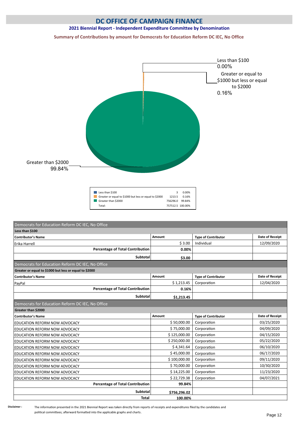#### **2021 Biennial Report - Independent Expenditure Committee by Denomination**

**Summary of Contributions by amount for Democrats for Education Reform DC IEC, No Office**



| Less than \$100                                        | ર                | 0.00% |
|--------------------------------------------------------|------------------|-------|
| Greater or equal to \$1000 but less or equal to \$2000 | 1213.5           | 0.16% |
| Greater than \$2000                                    | 756296.0 99.84%  |       |
| Total:                                                 | 757512.5 100.00% |       |

| Democrats for Education Reform DC IEC, No Office       |              |                            |                        |
|--------------------------------------------------------|--------------|----------------------------|------------------------|
| Less than \$100                                        |              |                            |                        |
| <b>Contributor's Name</b>                              | Amount       | <b>Type of Contributor</b> | <b>Date of Receipt</b> |
| Erika Harrell                                          | \$3.00       | Individual                 | 12/09/2020             |
| <b>Percentage of Total Contribution</b>                | 0.00%        |                            |                        |
| <b>Subtotal</b>                                        | \$3.00       |                            |                        |
| Democrats for Education Reform DC IEC, No Office       |              |                            |                        |
| Greater or equal to \$1000 but less or equal to \$2000 |              |                            |                        |
| <b>Contributor's Name</b>                              | Amount       | <b>Type of Contributor</b> | Date of Receipt        |
| PayPal                                                 | \$1,213.45   | Corporation                | 12/04/2020             |
| <b>Percentage of Total Contribution</b>                | 0.16%        |                            |                        |
| <b>Subtotal</b>                                        | \$1,213.45   |                            |                        |
| Democrats for Education Reform DC IEC, No Office       |              |                            |                        |
| Greater than \$2000                                    |              |                            |                        |
| <b>Contributor's Name</b>                              | Amount       | <b>Type of Contributor</b> | Date of Receipt        |
| EDUCATION REFORM NOW ADVOCACY                          | \$50,000.00  | Corporation                | 03/25/2020             |
| <b>EDUCATION REFORM NOW ADVOCACY</b>                   | \$75,000.00  | Corporation                | 04/09/2020             |
| <b>EDUCATION REFORM NOW ADVOCACY</b>                   | \$125,000.00 | Corporation                | 04/15/2020             |
| EDUCATION REFORM NOW ADVOCACY                          | \$250,000.00 | Corporation                | 05/22/2020             |
| <b>EDUCATION REFORM NOW ADVOCACY</b>                   | \$4,341.64   | Corporation                | 06/10/2020             |
| EDUCATION REFORM NOW ADVOCACY                          | \$45,000.00  | Corporation                | 06/17/2020             |
| <b>EDUCATION REFORM NOW ADVOCACY</b>                   | \$100,000.00 | Corporation                | 09/11/2020             |
| EDUCATION REFORM NOW ADVOCACY                          | \$70,000.00  | Corporation                | 10/30/2020             |
| EDUCATION REFORM NOW ADVOCACY                          | \$14,225.00  | Corporation                | 11/23/2020             |
| EDUCATION REFORM NOW ADVOCACY                          | \$22,729.38  | Corporation                | 04/07/2021             |
| <b>Percentage of Total Contribution</b>                | 99.84%       |                            |                        |
| <b>Subtotal</b>                                        | \$756,296.02 |                            |                        |
| <b>Total</b>                                           | 100.00%      |                            |                        |

The information presented in the 2021 Biennial Report was taken directly from reports of receipts and expenditures filed by the candidates and political committees; afterward formatted into the applicable graphs and charts.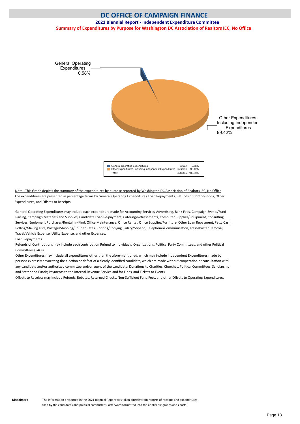#### <span id="page-14-0"></span>**DC OFFICE OF CAMPAIGN FINANCE 2021 Biennial Report - Independent Expenditure Committee Summary of Expenditures by Purpose for Washington DC Association of Realtors IEC, No Office**



Note: This Graph depicts the summary of the expenditures by purpose reported by Washington DC Association of Realtors IEC, No Office The expenditures are presented in percentage terms by General Operating Expenditures, Loan Repayments, Refunds of Contributions, Other Expenditures, and Ofsets to Receipts

General Operating Expenditures may include each expenditure made for Accounting Services, Advertising, Bank Fees, Campaign Events/Fund Raising, Campaign Materials and Supplies, Candidate Loan Re-payment, Catering/Refreshments, Computer Supplies/Equipment, Consultng Services, Equipment Purchases/Rental, In-Kind, Office Maintenance, Office Rental, Office Supplies/Furniture, Other Loan Repayment, Petty Cash, Polling/Mailing Lists, Postage/Shipping/Courier Rates, Printing/Copying, Salary/Stipend, Telephone/Communication, Trash/Poster Removal, Travel/Vehicle Expense, Utlity Expense, and other Expenses.

Loan Repayments.

Refunds of Contributions may include each contribution Refund to Individuals, Organizations, Political Party Committees, and other Political Commitees (PACs).

Other Expenditures may include all expenditures other than the afore-mentoned, which may include Independent Expenditures made by persons expressly advocating the election or defeat of a clearly identified candidate, which are made without cooperation or consultation with any candidate and/or authorized committee and/or agent of the candidate; Donations to Charities, Churches, Political Committees, Scholarship and Statehood Funds; Payments to the Internal Revenue Service and for Fines; and Tickets to Events.

Offsets to Receipts may include Refunds, Rebates, Returned Checks, Non-Sufficient Fund Fees, and other Offsets to Operating Expenditures.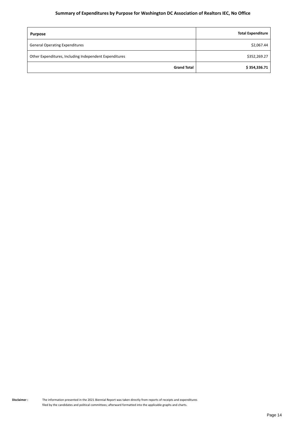#### **Summary of Expenditures by Purpose for Washington DC Association of Realtors IEC, No Office**

| <b>Purpose</b>                                         | <b>Total Expenditure</b> |
|--------------------------------------------------------|--------------------------|
| <b>General Operating Expenditures</b>                  | \$2,067.44               |
| Other Expenditures, Including Independent Expenditures | \$352,269.27             |
| <b>Grand Total</b>                                     | \$354,336.71             |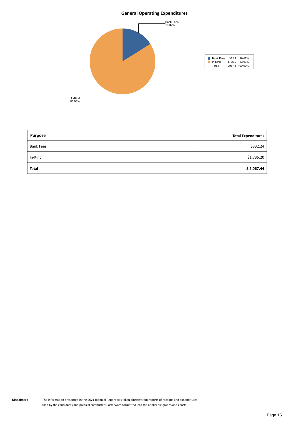#### **General Operating Expenditures**



| <b>Purpose</b>   | <b>Total Expenditures</b> |
|------------------|---------------------------|
| <b>Bank Fees</b> | \$332.24                  |
| In-Kind          | \$1,735.20                |
| <b>Total</b>     | \$2,067.44                |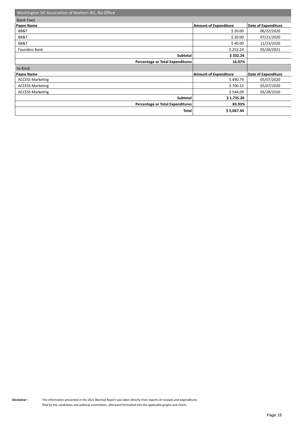| Washington DC Association of Realtors IEC, No Office |                              |                     |
|------------------------------------------------------|------------------------------|---------------------|
| <b>Bank Fees</b>                                     |                              |                     |
| <b>Payee Name</b>                                    | <b>Amount of Expenditure</b> | Date of Expenditure |
| BB&T                                                 | \$20.00                      | 06/22/2020          |
| BB&T                                                 | \$20.00                      | 07/21/2020          |
| BB&T                                                 | \$40.00                      | 11/23/2020          |
| Founders Bank                                        | \$252.24                     | 05/28/2021          |
| Subtotal                                             | \$332.24                     |                     |
| Percentage or Total Expenditures                     | 16.07%                       |                     |
| In-Kind                                              |                              |                     |
| <b>Payee Name</b>                                    | <b>Amount of Expenditure</b> | Date of Expenditure |
| <b>ACCESS Marketing</b>                              | \$490.79                     | 05/07/2020          |
| <b>ACCESS Marketing</b>                              | \$700.32                     | 05/07/2020          |
| <b>ACCESS Marketing</b>                              | \$544.09                     | 05/28/2020          |
| Subtotal                                             | \$1,735.20                   |                     |
| Percentage or Total Expenditures                     | 83.93%                       |                     |
| Total                                                | \$2,067.44                   |                     |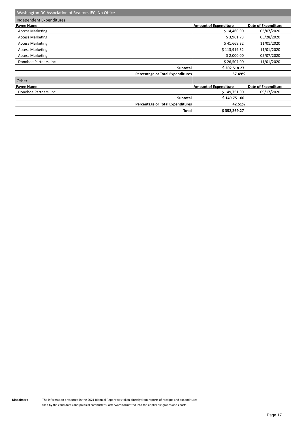| Washington DC Association of Realtors IEC, No Office |                              |                     |  |
|------------------------------------------------------|------------------------------|---------------------|--|
| Independent Expenditures                             |                              |                     |  |
| <b>Payee Name</b>                                    | <b>Amount of Expenditure</b> | Date of Expenditure |  |
| <b>Access Marketing</b>                              | \$14,460.90                  | 05/07/2020          |  |
| <b>Access Marketing</b>                              | \$3,961.73                   | 05/28/2020          |  |
| <b>Access Marketing</b>                              | \$41,669.32                  | 11/01/2020          |  |
| <b>Access Marketing</b>                              | \$113,919.32                 | 11/01/2020          |  |
| <b>Access Marketing</b>                              | \$2,000.00                   | 05/07/2020          |  |
| Donohoe Partners, Inc.                               | \$26,507.00                  | 11/01/2020          |  |
| Subtotal                                             | \$202,518.27                 |                     |  |
| Percentage or Total Expenditures                     | 57.49%                       |                     |  |
| Other                                                |                              |                     |  |
| Payee Name                                           | <b>Amount of Expenditure</b> | Date of Expenditure |  |
| Donohoe Partners, Inc.                               | \$149,751.00                 | 09/17/2020          |  |
| Subtotal                                             | \$149,751.00                 |                     |  |
| Percentage or Total Expenditures                     | 42.51%                       |                     |  |
| Total                                                | \$352,269.27                 |                     |  |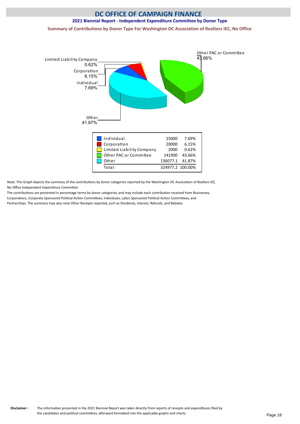# **DC OFFICE OF CAMPAIGN FINANCE 2021 Biennial Report - Independent Expenditure Committee by Donor Type Summary of Contributions by Donor Type For Washington DC Association of Realtors IEC, No Office**



Note: This Graph depicts the summary of the contributons by donor categories reported by the Washington DC Associaton of Realtors IEC, No Office Independent Expenditure Committee

The contributions are presented in percentage terms by donor categories, and may include each contribution received from Businesses, Corporations, Corporate Sponsored Political Action Committees, Individuals, Labor Sponsored Political Action Committees, and Partnerships. The summary may also note Other Receipts reported, such as Dividends, Interest, Refunds, and Rebates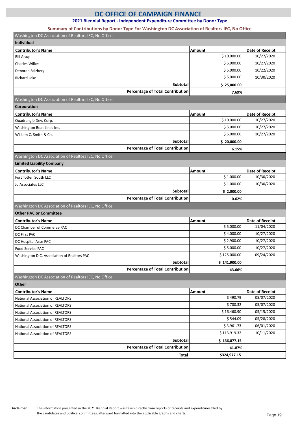**2021 Biennial Report - Independent Expenditure Committee by Donor Type**

#### **Summary of Contributions by Donor Type For Washington DC Association of Realtors IEC, No Office**

| Washington DC Association of Realtors IEC, No Office                                  |               |                 |
|---------------------------------------------------------------------------------------|---------------|-----------------|
| <b>Individual</b>                                                                     |               |                 |
| <b>Contributor's Name</b>                                                             | Amount        | Date of Receipt |
| <b>Bill Alsup</b>                                                                     | \$10,000.00   | 10/27/2020      |
| <b>Charles Wilkes</b>                                                                 | \$5,000.00    | 10/27/2020      |
| Deborah Salzberg                                                                      | \$5,000.00    | 10/22/2020      |
| <b>Richard Lake</b>                                                                   | \$5,000.00    | 10/30/2020      |
| <b>Subtotal</b>                                                                       | \$25,000.00   |                 |
| <b>Percentage of Total Contribution</b>                                               | 7.69%         |                 |
| Washington DC Association of Realtors IEC, No Office                                  |               |                 |
| Corporation                                                                           |               |                 |
| <b>Contributor's Name</b>                                                             | Amount        | Date of Receipt |
| Quadrangle Dev. Corp.                                                                 | \$10,000.00   | 10/27/2020      |
| Washington Boat Lines Inc.                                                            | \$5,000.00    | 10/27/2020      |
| William C. Smith & Co.                                                                | \$5,000.00    | 10/27/2020      |
| <b>Subtotal</b>                                                                       | \$20,000.00   |                 |
| <b>Percentage of Total Contribution</b>                                               | 6.15%         |                 |
| Washington DC Association of Realtors IEC, No Office                                  |               |                 |
| <b>Limited Liability Company</b>                                                      |               |                 |
| <b>Contributor's Name</b>                                                             | <b>Amount</b> | Date of Receipt |
| Fort Totten South LLC                                                                 | \$1,000.00    | 10/30/2020      |
| Jo Associates LLC                                                                     | \$1,000.00    | 10/30/2020      |
| <b>Subtotal</b>                                                                       | \$2,000.00    |                 |
| <b>Percentage of Total Contribution</b>                                               |               |                 |
|                                                                                       | 0.62%         |                 |
|                                                                                       |               |                 |
| Washington DC Association of Realtors IEC, No Office<br><b>Other PAC or Committee</b> |               |                 |
| <b>Contributor's Name</b>                                                             | Amount        | Date of Receipt |
| DC Chamber of Commerce PAC                                                            | \$5,000.00    | 11/04/2020      |
| <b>DC First PAC</b>                                                                   | \$4,000.00    | 10/27/2020      |
| DC Hospital Assn PAC                                                                  | \$2,900.00    | 10/27/2020      |
| Food Service PAC                                                                      | \$5,000.00    | 10/27/2020      |
| Washington D.C. Association of Realtors PAC                                           | \$125,000.00  | 09/24/2020      |
| Subtotal                                                                              | \$141,900.00  |                 |
| <b>Percentage of Total Contribution</b>                                               | 43.66%        |                 |
| Washington DC Association of Realtors IEC, No Office                                  |               |                 |
| Other                                                                                 |               |                 |
| <b>Contributor's Name</b>                                                             | Amount        | Date of Receipt |
| <b>National Association of REALTORS</b>                                               | \$490.79      | 05/07/2020      |
| <b>National Association of REALTORS</b>                                               | \$700.32      | 05/07/2020      |
| <b>National Association of REALTORS</b>                                               | \$16,460.90   | 05/15/2020      |
| <b>National Association of REALTORS</b>                                               | \$544.09      | 05/28/2020      |
| <b>National Association of REALTORS</b>                                               | \$3,961.73    | 06/01/2020      |
| <b>National Association of REALTORS</b>                                               | \$113,919.32  | 10/11/2020      |
| <b>Subtotal</b>                                                                       | \$136,077.15  |                 |
| <b>Percentage of Total Contribution</b>                                               | 41.87%        |                 |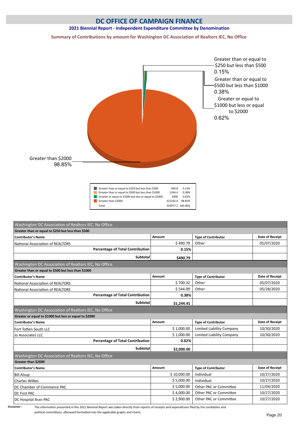#### **2021 Biennial Report - Independent Expenditure Committee by Denomination**

**Summary of Contributions by amount for Washington DC Association of Realtors IEC, No Office**



| Greater than or equal to \$250 but less than \$500     | 490.8            | 0.15%  |
|--------------------------------------------------------|------------------|--------|
| Greater than or equal to \$500 but less than \$1000    | 1244.4           | 0.38%  |
| Greater or equal to \$1000 but less or equal to \$2000 | 2000             | 0.62%  |
| Greater than \$2000                                    | 321242.0         | 98 85% |
| Total:                                                 | 324977.2 100.00% |        |

| Greater than or equal to \$250 but less than \$500                                       |             |                                  |                 |
|------------------------------------------------------------------------------------------|-------------|----------------------------------|-----------------|
| <b>Contributor's Name</b>                                                                | Amount      | <b>Type of Contributor</b>       | Date of Receipt |
| National Association of REALTORS                                                         | \$490.79    | Other                            | 05/07/2020      |
| <b>Percentage of Total Contribution</b>                                                  | 0.15%       |                                  |                 |
| Subtotal                                                                                 | \$490.79    |                                  |                 |
| Washington DC Association of Realtors IEC, No Office                                     |             |                                  |                 |
| Greater than or equal to \$500 but less than \$1000                                      |             |                                  |                 |
| <b>Contributor's Name</b>                                                                | Amount      | <b>Type of Contributor</b>       | Date of Receipt |
| <b>National Association of REALTORS</b>                                                  | \$700.32    | Other                            | 05/07/2020      |
| <b>National Association of REALTORS</b>                                                  | \$544.09    | Other                            | 05/28/2020      |
| <b>Percentage of Total Contribution</b>                                                  | 0.38%       |                                  |                 |
| Subtotal                                                                                 | \$1,244.41  |                                  |                 |
| Washington DC Association of Realtors IEC, No Office                                     |             |                                  |                 |
| Greater or equal to \$1000 but less or equal to \$2000                                   |             |                                  |                 |
| <b>Contributor's Name</b>                                                                | Amount      | <b>Type of Contributor</b>       | Date of Receipt |
| Fort Totten South LLC                                                                    | \$1,000.00  | Limited Liability Company        | 10/30/2020      |
| Jo Associates LLC                                                                        | \$1,000.00  | <b>Limited Liability Company</b> | 10/30/2020      |
| <b>Percentage of Total Contribution</b>                                                  | 0.62%       |                                  |                 |
| Subtotal                                                                                 | \$2,000.00  |                                  |                 |
| Washington DC Association of Realtors IEC, No Office                                     |             |                                  |                 |
| Greater than \$2000                                                                      |             |                                  |                 |
| <b>Contributor's Name</b>                                                                | Amount      | <b>Type of Contributor</b>       | Date of Receipt |
|                                                                                          | \$10,000.00 | Individual                       | 10/27/2020      |
|                                                                                          |             |                                  | 10/27/2020      |
|                                                                                          | \$5,000.00  | Individual                       |                 |
|                                                                                          | \$5,000.00  | Other PAC or Committee           | 11/04/2020      |
| <b>Bill Alsup</b><br><b>Charles Wilkes</b><br>DC Chamber of Commerce PAC<br>DC First PAC | \$4,000.00  | Other PAC or Committee           | 10/27/2020      |

political committees; afterward formatted into the applicable graphs and charts.